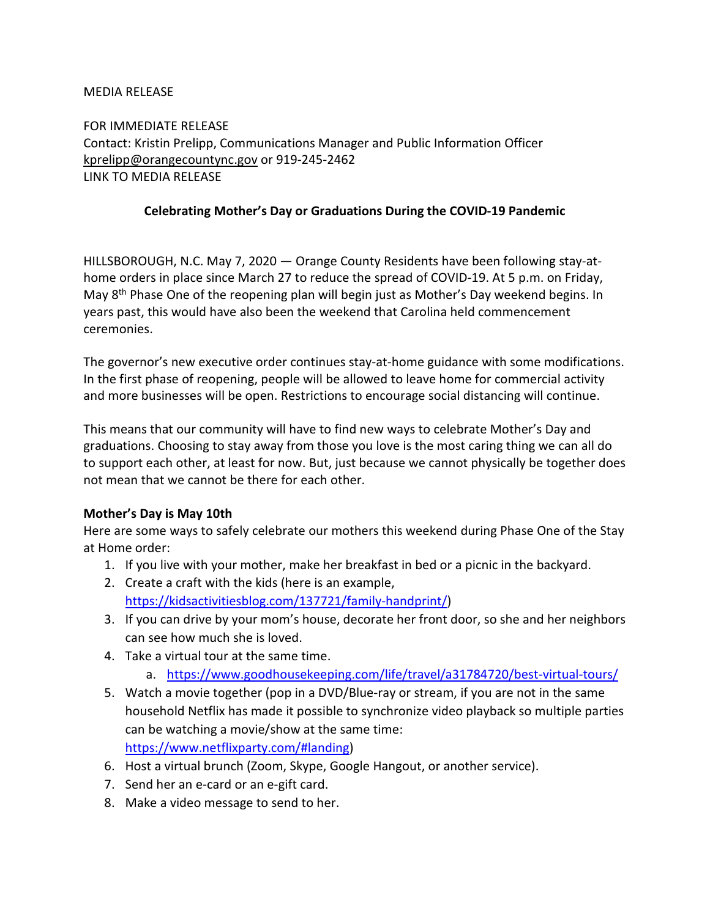## MEDIA RELEASE

FOR IMMEDIATE RELEASE Contact: Kristin Prelipp, Communications Manager and Public Information Officer [kprelipp@orangecountync.gov](mailto:kprelipp@orangecountync.gov) or 919-245-2462 LINK TO MEDIA RELEASE

## **Celebrating Mother's Day or Graduations During the COVID-19 Pandemic**

HILLSBOROUGH, N.C. May 7, 2020 ― Orange County Residents have been following stay-athome orders in place since March 27 to reduce the spread of COVID-19. At 5 p.m. on Friday, May 8th Phase One of the reopening plan will begin just as Mother's Day weekend begins. In years past, this would have also been the weekend that Carolina held commencement ceremonies.

The governor's new executive order continues stay-at-home guidance with some modifications. In the first phase of reopening, people will be allowed to leave home for commercial activity and more businesses will be open. Restrictions to encourage social distancing will continue.

This means that our community will have to find new ways to celebrate Mother's Day and graduations. Choosing to stay away from those you love is the most caring thing we can all do to support each other, at least for now. But, just because we cannot physically be together does not mean that we cannot be there for each other.

#### **Mother's Day is May 10th**

Here are some ways to safely celebrate our mothers this weekend during Phase One of the Stay at Home order:

- 1. If you live with your mother, make her breakfast in bed or a picnic in the backyard.
- 2. Create a craft with the kids (here is an example, [https://kidsactivitiesblog.com/137721/family-handprint/\)](https://kidsactivitiesblog.com/137721/family-handprint/)
- 3. If you can drive by your mom's house, decorate her front door, so she and her neighbors can see how much she is loved.
- 4. Take a virtual tour at the same time.
	- a. <https://www.goodhousekeeping.com/life/travel/a31784720/best-virtual-tours/>
- 5. Watch a movie together (pop in a DVD/Blue-ray or stream, if you are not in the same household Netflix has made it possible to synchronize video playback so multiple parties can be watching a movie/show at the same time: [https://www.netflixparty.com/#landing\)](https://www.netflixparty.com/#landing)
- 6. Host a virtual brunch (Zoom, Skype, Google Hangout, or another service).
- 7. Send her an e-card or an e-gift card.
- 8. Make a video message to send to her.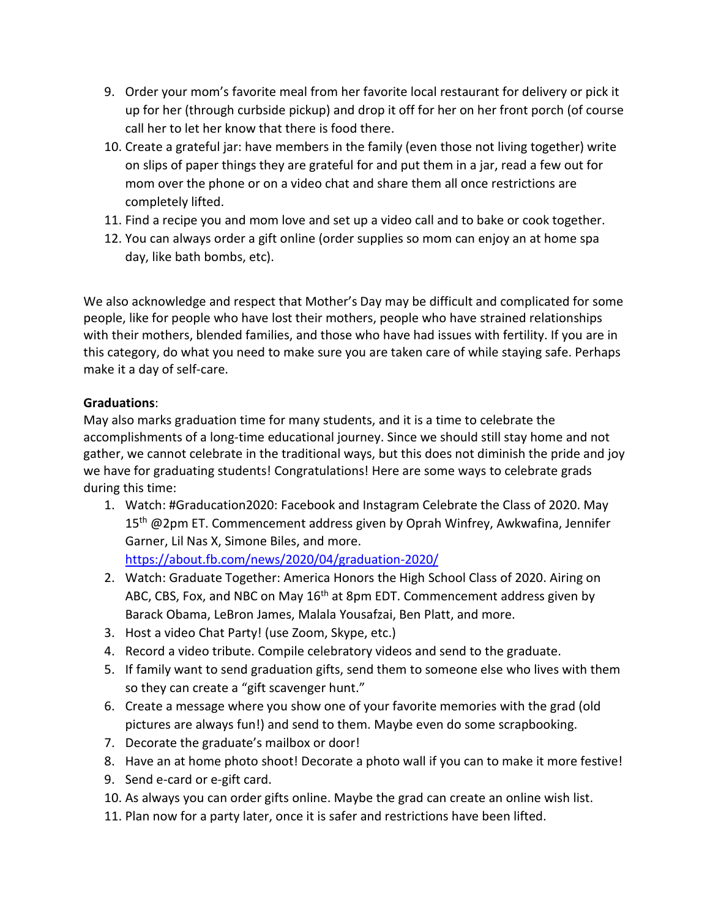- 9. Order your mom's favorite meal from her favorite local restaurant for delivery or pick it up for her (through curbside pickup) and drop it off for her on her front porch (of course call her to let her know that there is food there.
- 10. Create a grateful jar: have members in the family (even those not living together) write on slips of paper things they are grateful for and put them in a jar, read a few out for mom over the phone or on a video chat and share them all once restrictions are completely lifted.
- 11. Find a recipe you and mom love and set up a video call and to bake or cook together.
- 12. You can always order a gift online (order supplies so mom can enjoy an at home spa day, like bath bombs, etc).

We also acknowledge and respect that Mother's Day may be difficult and complicated for some people, like for people who have lost their mothers, people who have strained relationships with their mothers, blended families, and those who have had issues with fertility. If you are in this category, do what you need to make sure you are taken care of while staying safe. Perhaps make it a day of self-care.

# **Graduations**:

May also marks graduation time for many students, and it is a time to celebrate the accomplishments of a long-time educational journey. Since we should still stay home and not gather, we cannot celebrate in the traditional ways, but this does not diminish the pride and joy we have for graduating students! Congratulations! Here are some ways to celebrate grads during this time:

- 1. Watch: #Graducation2020: Facebook and Instagram Celebrate the Class of 2020. May 15<sup>th</sup> @2pm ET. Commencement address given by Oprah Winfrey, Awkwafina, Jennifer Garner, Lil Nas X, Simone Biles, and more. <https://about.fb.com/news/2020/04/graduation-2020/>
- 2. Watch: Graduate Together: America Honors the High School Class of 2020. Airing on ABC, CBS, Fox, and NBC on May  $16<sup>th</sup>$  at 8pm EDT. Commencement address given by Barack Obama, LeBron James, Malala Yousafzai, Ben Platt, and more.
- 3. Host a video Chat Party! (use Zoom, Skype, etc.)
- 4. Record a video tribute. Compile celebratory videos and send to the graduate.
- 5. If family want to send graduation gifts, send them to someone else who lives with them so they can create a "gift scavenger hunt."
- 6. Create a message where you show one of your favorite memories with the grad (old pictures are always fun!) and send to them. Maybe even do some scrapbooking.
- 7. Decorate the graduate's mailbox or door!
- 8. Have an at home photo shoot! Decorate a photo wall if you can to make it more festive!
- 9. Send e-card or e-gift card.
- 10. As always you can order gifts online. Maybe the grad can create an online wish list.
- 11. Plan now for a party later, once it is safer and restrictions have been lifted.